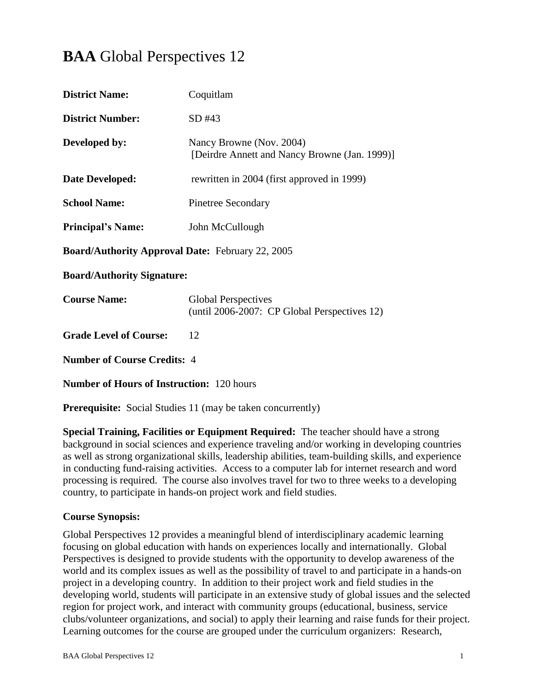# **BAA** Global Perspectives 12

| <b>District Name:</b>                            | Coquitlam                                                                  |  |  |
|--------------------------------------------------|----------------------------------------------------------------------------|--|--|
| <b>District Number:</b>                          | SD#43                                                                      |  |  |
| Developed by:                                    | Nancy Browne (Nov. 2004)<br>[Deirdre Annett and Nancy Browne (Jan. 1999)]  |  |  |
| Date Developed:                                  | rewritten in 2004 (first approved in 1999)                                 |  |  |
| <b>School Name:</b>                              | <b>Pinetree Secondary</b>                                                  |  |  |
| <b>Principal's Name:</b>                         | John McCullough                                                            |  |  |
| Board/Authority Approval Date: February 22, 2005 |                                                                            |  |  |
| <b>Board/Authority Signature:</b>                |                                                                            |  |  |
| <b>Course Name:</b>                              | <b>Global Perspectives</b><br>(until 2006-2007: CP Global Perspectives 12) |  |  |
| <b>Grade Level of Course:</b>                    | 12                                                                         |  |  |
| <b>Number of Course Credits: 4</b>               |                                                                            |  |  |
| <b>Number of Hours of Instruction: 120 hours</b> |                                                                            |  |  |

**Prerequisite:** Social Studies 11 (may be taken concurrently)

**Special Training, Facilities or Equipment Required:** The teacher should have a strong background in social sciences and experience traveling and/or working in developing countries as well as strong organizational skills, leadership abilities, team-building skills, and experience in conducting fund-raising activities. Access to a computer lab for internet research and word processing is required. The course also involves travel for two to three weeks to a developing country, to participate in hands-on project work and field studies.

## **Course Synopsis:**

Global Perspectives 12 provides a meaningful blend of interdisciplinary academic learning focusing on global education with hands on experiences locally and internationally. Global Perspectives is designed to provide students with the opportunity to develop awareness of the world and its complex issues as well as the possibility of travel to and participate in a hands-on project in a developing country. In addition to their project work and field studies in the developing world, students will participate in an extensive study of global issues and the selected region for project work, and interact with community groups (educational, business, service clubs/volunteer organizations, and social) to apply their learning and raise funds for their project. Learning outcomes for the course are grouped under the curriculum organizers: Research,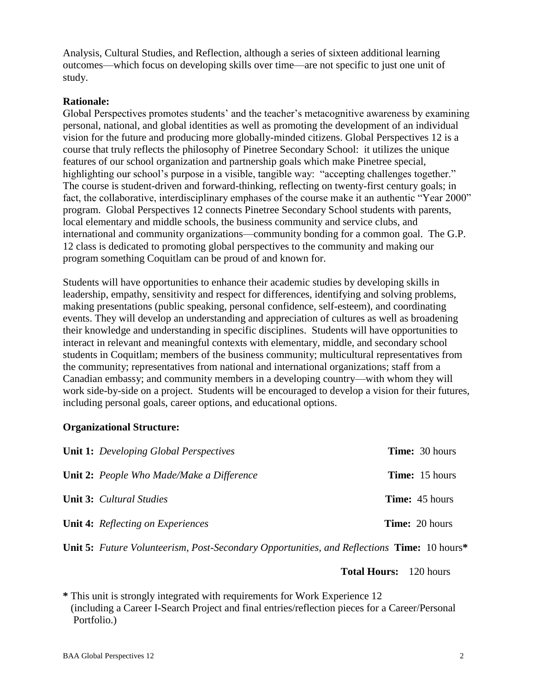Analysis, Cultural Studies, and Reflection, although a series of sixteen additional learning outcomes—which focus on developing skills over time—are not specific to just one unit of study.

#### **Rationale:**

Global Perspectives promotes students' and the teacher's metacognitive awareness by examining personal, national, and global identities as well as promoting the development of an individual vision for the future and producing more globally-minded citizens. Global Perspectives 12 is a course that truly reflects the philosophy of Pinetree Secondary School: it utilizes the unique features of our school organization and partnership goals which make Pinetree special, highlighting our school's purpose in a visible, tangible way: "accepting challenges together." The course is student-driven and forward-thinking, reflecting on twenty-first century goals; in fact, the collaborative, interdisciplinary emphases of the course make it an authentic "Year 2000" program. Global Perspectives 12 connects Pinetree Secondary School students with parents, local elementary and middle schools, the business community and service clubs, and international and community organizations—community bonding for a common goal. The G.P. 12 class is dedicated to promoting global perspectives to the community and making our program something Coquitlam can be proud of and known for.

Students will have opportunities to enhance their academic studies by developing skills in leadership, empathy, sensitivity and respect for differences, identifying and solving problems, making presentations (public speaking, personal confidence, self-esteem), and coordinating events. They will develop an understanding and appreciation of cultures as well as broadening their knowledge and understanding in specific disciplines. Students will have opportunities to interact in relevant and meaningful contexts with elementary, middle, and secondary school students in Coquitlam; members of the business community; multicultural representatives from the community; representatives from national and international organizations; staff from a Canadian embassy; and community members in a developing country—with whom they will work side-by-side on a project. Students will be encouraged to develop a vision for their futures, including personal goals, career options, and educational options.

#### **Organizational Structure:**

| <b>Unit 1:</b> Developing Global Perspectives    | <b>Time:</b> 30 hours |
|--------------------------------------------------|-----------------------|
| <b>Unit 2:</b> People Who Made/Make a Difference | <b>Time:</b> 15 hours |
| <b>Unit 3:</b> Cultural Studies                  | <b>Time:</b> 45 hours |
| <b>Unit 4:</b> Reflecting on Experiences         | <b>Time:</b> 20 hours |

**Unit 5:** *Future Volunteerism, Post-Secondary Opportunities, and Reflections* **Time:** 10 hours**\***

**Total Hours:** 120 hours

**\*** This unit is strongly integrated with requirements for Work Experience 12 (including a Career I-Search Project and final entries/reflection pieces for a Career/Personal Portfolio.)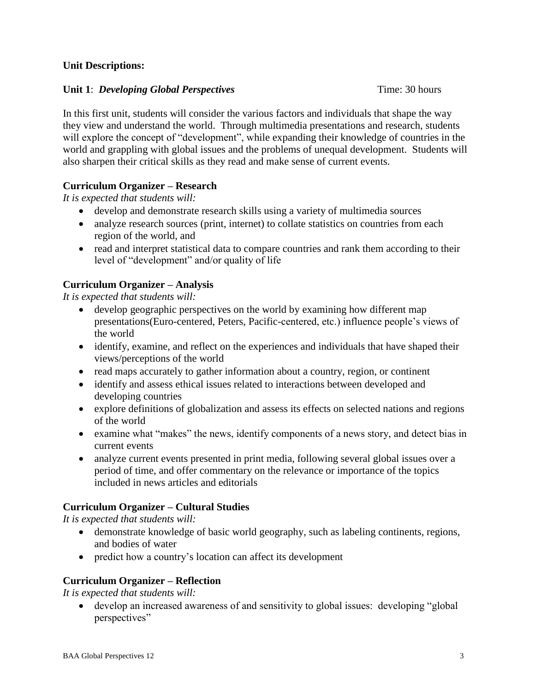#### **Unit Descriptions:**

#### **Unit 1**: *Developing Global Perspectives* **Time: 30 hours Time**: 30 hours

In this first unit, students will consider the various factors and individuals that shape the way they view and understand the world. Through multimedia presentations and research, students will explore the concept of "development", while expanding their knowledge of countries in the world and grappling with global issues and the problems of unequal development. Students will also sharpen their critical skills as they read and make sense of current events.

# **Curriculum Organizer – Research**

*It is expected that students will:*

- develop and demonstrate research skills using a variety of multimedia sources
- analyze research sources (print, internet) to collate statistics on countries from each region of the world, and
- read and interpret statistical data to compare countries and rank them according to their level of "development" and/or quality of life

# **Curriculum Organizer – Analysis**

*It is expected that students will:*

- develop geographic perspectives on the world by examining how different map presentations(Euro-centered, Peters, Pacific-centered, etc.) influence people's views of the world
- identify, examine, and reflect on the experiences and individuals that have shaped their views/perceptions of the world
- read maps accurately to gather information about a country, region, or continent
- identify and assess ethical issues related to interactions between developed and developing countries
- explore definitions of globalization and assess its effects on selected nations and regions of the world
- examine what "makes" the news, identify components of a news story, and detect bias in current events
- analyze current events presented in print media, following several global issues over a period of time, and offer commentary on the relevance or importance of the topics included in news articles and editorials

# **Curriculum Organizer – Cultural Studies**

*It is expected that students will:*

- demonstrate knowledge of basic world geography, such as labeling continents, regions, and bodies of water
- predict how a country's location can affect its development

# **Curriculum Organizer – Reflection**

*It is expected that students will:*

 develop an increased awareness of and sensitivity to global issues: developing "global perspectives"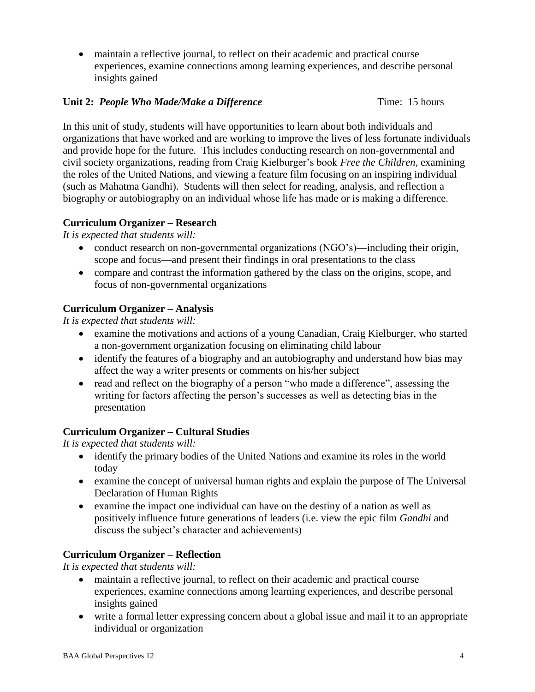maintain a reflective journal, to reflect on their academic and practical course experiences, examine connections among learning experiences, and describe personal insights gained

#### **Unit 2: People Who Made/Make a Difference** Time: 15 hours

In this unit of study, students will have opportunities to learn about both individuals and organizations that have worked and are working to improve the lives of less fortunate individuals and provide hope for the future. This includes conducting research on non-governmental and civil society organizations, reading from Craig Kielburger's book *Free the Children,* examining the roles of the United Nations, and viewing a feature film focusing on an inspiring individual (such as Mahatma Gandhi). Students will then select for reading, analysis, and reflection a biography or autobiography on an individual whose life has made or is making a difference.

## **Curriculum Organizer – Research**

*It is expected that students will:*

- conduct research on non-governmental organizations (NGO's)—including their origin, scope and focus—and present their findings in oral presentations to the class
- compare and contrast the information gathered by the class on the origins, scope, and focus of non-governmental organizations

## **Curriculum Organizer – Analysis**

*It is expected that students will:*

- examine the motivations and actions of a young Canadian, Craig Kielburger, who started a non-government organization focusing on eliminating child labour
- identify the features of a biography and an autobiography and understand how bias may affect the way a writer presents or comments on his/her subject
- read and reflect on the biography of a person "who made a difference", assessing the writing for factors affecting the person's successes as well as detecting bias in the presentation

#### **Curriculum Organizer – Cultural Studies**

*It is expected that students will:*

- identify the primary bodies of the United Nations and examine its roles in the world today
- examine the concept of universal human rights and explain the purpose of The Universal Declaration of Human Rights
- examine the impact one individual can have on the destiny of a nation as well as positively influence future generations of leaders (i.e. view the epic film *Gandhi* and discuss the subject's character and achievements)

## **Curriculum Organizer – Reflection**

*It is expected that students will:*

- maintain a reflective journal, to reflect on their academic and practical course experiences, examine connections among learning experiences, and describe personal insights gained
- write a formal letter expressing concern about a global issue and mail it to an appropriate individual or organization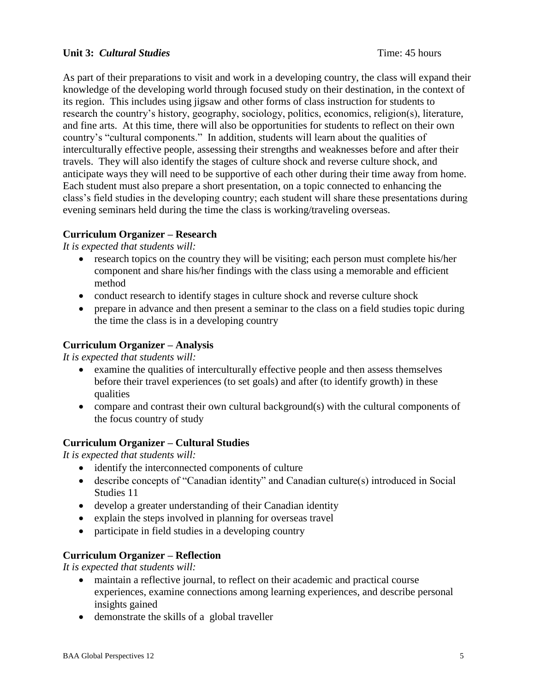#### **Unit 3:** *Cultural Studies* Time: 45 hours

As part of their preparations to visit and work in a developing country, the class will expand their knowledge of the developing world through focused study on their destination, in the context of its region. This includes using jigsaw and other forms of class instruction for students to research the country's history, geography, sociology, politics, economics, religion(s), literature, and fine arts. At this time, there will also be opportunities for students to reflect on their own country's "cultural components." In addition, students will learn about the qualities of interculturally effective people, assessing their strengths and weaknesses before and after their travels. They will also identify the stages of culture shock and reverse culture shock, and anticipate ways they will need to be supportive of each other during their time away from home. Each student must also prepare a short presentation, on a topic connected to enhancing the class's field studies in the developing country; each student will share these presentations during evening seminars held during the time the class is working/traveling overseas.

## **Curriculum Organizer – Research**

*It is expected that students will:*

- research topics on the country they will be visiting; each person must complete his/her component and share his/her findings with the class using a memorable and efficient method
- conduct research to identify stages in culture shock and reverse culture shock
- prepare in advance and then present a seminar to the class on a field studies topic during the time the class is in a developing country

#### **Curriculum Organizer – Analysis**

*It is expected that students will:*

- examine the qualities of interculturally effective people and then assess themselves before their travel experiences (to set goals) and after (to identify growth) in these qualities
- compare and contrast their own cultural background(s) with the cultural components of the focus country of study

## **Curriculum Organizer – Cultural Studies**

*It is expected that students will:*

- identify the interconnected components of culture
- describe concepts of "Canadian identity" and Canadian culture(s) introduced in Social Studies 11
- develop a greater understanding of their Canadian identity
- explain the steps involved in planning for overseas travel
- participate in field studies in a developing country

## **Curriculum Organizer – Reflection**

*It is expected that students will:*

- maintain a reflective journal, to reflect on their academic and practical course experiences, examine connections among learning experiences, and describe personal insights gained
- demonstrate the skills of a global traveller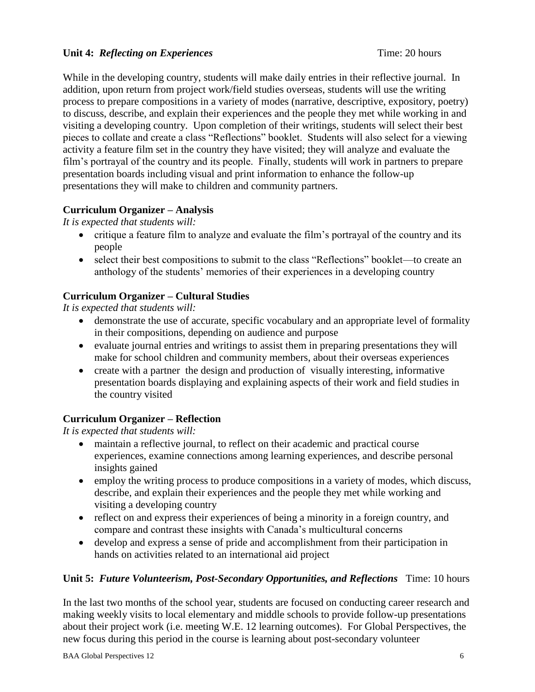#### **Unit 4:** *Reflecting on Experiences* Time: 20 hours

While in the developing country, students will make daily entries in their reflective journal. In addition, upon return from project work/field studies overseas, students will use the writing process to prepare compositions in a variety of modes (narrative, descriptive, expository, poetry) to discuss, describe, and explain their experiences and the people they met while working in and visiting a developing country. Upon completion of their writings, students will select their best pieces to collate and create a class "Reflections" booklet. Students will also select for a viewing activity a feature film set in the country they have visited; they will analyze and evaluate the film's portrayal of the country and its people. Finally, students will work in partners to prepare presentation boards including visual and print information to enhance the follow-up presentations they will make to children and community partners.

# **Curriculum Organizer – Analysis**

*It is expected that students will:*

- critique a feature film to analyze and evaluate the film's portrayal of the country and its people
- select their best compositions to submit to the class "Reflections" booklet—to create an anthology of the students' memories of their experiences in a developing country

# **Curriculum Organizer – Cultural Studies**

*It is expected that students will:*

- demonstrate the use of accurate, specific vocabulary and an appropriate level of formality in their compositions, depending on audience and purpose
- evaluate journal entries and writings to assist them in preparing presentations they will make for school children and community members, about their overseas experiences
- create with a partner the design and production of visually interesting, informative presentation boards displaying and explaining aspects of their work and field studies in the country visited

## **Curriculum Organizer – Reflection**

*It is expected that students will:*

- maintain a reflective journal, to reflect on their academic and practical course experiences, examine connections among learning experiences, and describe personal insights gained
- employ the writing process to produce compositions in a variety of modes, which discuss, describe, and explain their experiences and the people they met while working and visiting a developing country
- reflect on and express their experiences of being a minority in a foreign country, and compare and contrast these insights with Canada's multicultural concerns
- develop and express a sense of pride and accomplishment from their participation in hands on activities related to an international aid project

## **Unit 5:** *Future Volunteerism, Post-Secondary Opportunities, and Reflections* Time: 10 hours

In the last two months of the school year, students are focused on conducting career research and making weekly visits to local elementary and middle schools to provide follow-up presentations about their project work (i.e. meeting W.E. 12 learning outcomes). For Global Perspectives, the new focus during this period in the course is learning about post-secondary volunteer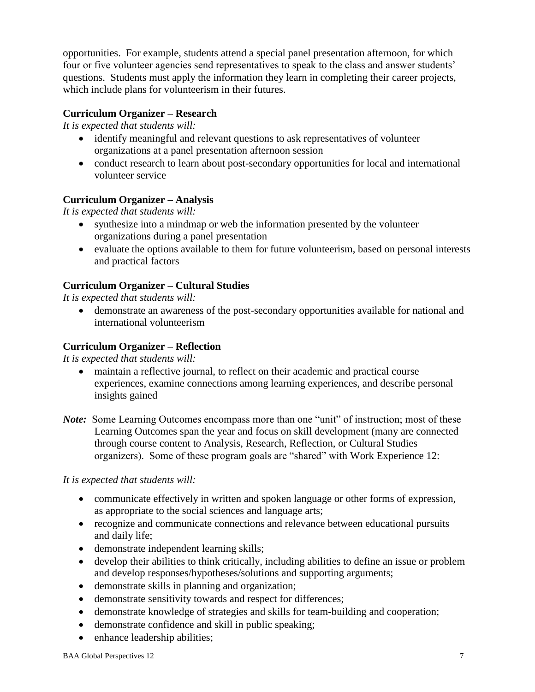opportunities. For example, students attend a special panel presentation afternoon, for which four or five volunteer agencies send representatives to speak to the class and answer students' questions. Students must apply the information they learn in completing their career projects, which include plans for volunteerism in their futures.

## **Curriculum Organizer – Research**

*It is expected that students will:*

- identify meaningful and relevant questions to ask representatives of volunteer organizations at a panel presentation afternoon session
- conduct research to learn about post-secondary opportunities for local and international volunteer service

# **Curriculum Organizer – Analysis**

*It is expected that students will:*

- synthesize into a mindmap or web the information presented by the volunteer organizations during a panel presentation
- evaluate the options available to them for future volunteerism, based on personal interests and practical factors

# **Curriculum Organizer – Cultural Studies**

*It is expected that students will:*

 demonstrate an awareness of the post-secondary opportunities available for national and international volunteerism

## **Curriculum Organizer – Reflection**

*It is expected that students will:*

- maintain a reflective journal, to reflect on their academic and practical course experiences, examine connections among learning experiences, and describe personal insights gained
- *Note*: Some Learning Outcomes encompass more than one "unit" of instruction; most of these Learning Outcomes span the year and focus on skill development (many are connected through course content to Analysis, Research, Reflection, or Cultural Studies organizers). Some of these program goals are "shared" with Work Experience 12:

*It is expected that students will:*

- communicate effectively in written and spoken language or other forms of expression, as appropriate to the social sciences and language arts;
- recognize and communicate connections and relevance between educational pursuits and daily life;
- demonstrate independent learning skills;
- develop their abilities to think critically, including abilities to define an issue or problem and develop responses/hypotheses/solutions and supporting arguments;
- demonstrate skills in planning and organization;
- demonstrate sensitivity towards and respect for differences;
- demonstrate knowledge of strategies and skills for team-building and cooperation;
- demonstrate confidence and skill in public speaking;
- enhance leadership abilities;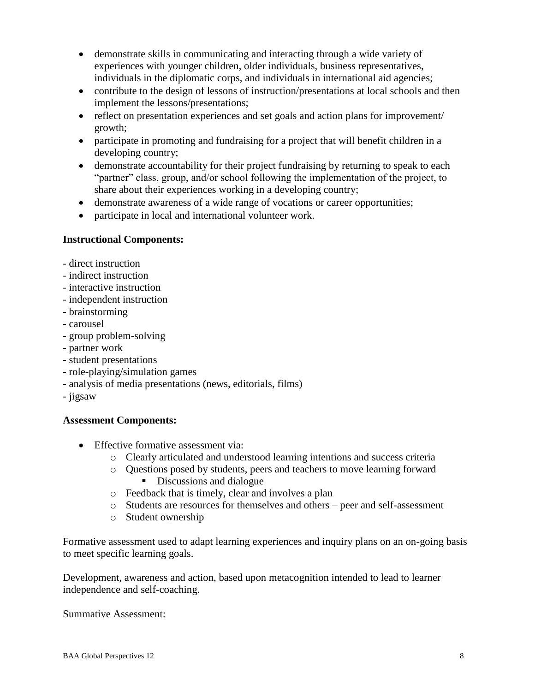- demonstrate skills in communicating and interacting through a wide variety of experiences with younger children, older individuals, business representatives, individuals in the diplomatic corps, and individuals in international aid agencies;
- contribute to the design of lessons of instruction/presentations at local schools and then implement the lessons/presentations;
- reflect on presentation experiences and set goals and action plans for improvement/ growth;
- participate in promoting and fundraising for a project that will benefit children in a developing country;
- demonstrate accountability for their project fundraising by returning to speak to each "partner" class, group, and/or school following the implementation of the project, to share about their experiences working in a developing country;
- demonstrate awareness of a wide range of vocations or career opportunities;
- participate in local and international volunteer work.

#### **Instructional Components:**

- direct instruction
- indirect instruction
- interactive instruction
- independent instruction
- brainstorming
- carousel
- group problem-solving
- partner work
- student presentations
- role-playing/simulation games
- analysis of media presentations (news, editorials, films)
- jigsaw

#### **Assessment Components:**

- Effective formative assessment via:
	- o Clearly articulated and understood learning intentions and success criteria
	- o Questions posed by students, peers and teachers to move learning forward
		- Discussions and dialogue
	- o Feedback that is timely, clear and involves a plan
	- o Students are resources for themselves and others peer and self-assessment
	- o Student ownership

Formative assessment used to adapt learning experiences and inquiry plans on an on-going basis to meet specific learning goals.

Development, awareness and action, based upon metacognition intended to lead to learner independence and self-coaching.

Summative Assessment: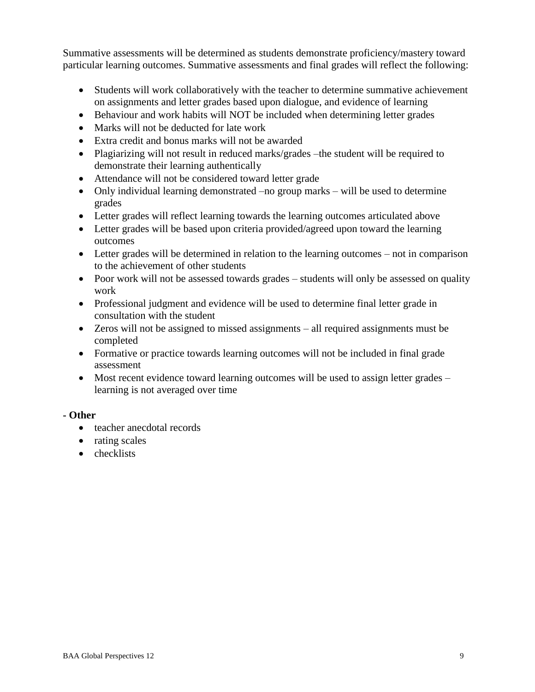Summative assessments will be determined as students demonstrate proficiency/mastery toward particular learning outcomes. Summative assessments and final grades will reflect the following:

- Students will work collaboratively with the teacher to determine summative achievement on assignments and letter grades based upon dialogue, and evidence of learning
- Behaviour and work habits will NOT be included when determining letter grades
- Marks will not be deducted for late work
- Extra credit and bonus marks will not be awarded
- Plagiarizing will not result in reduced marks/grades –the student will be required to demonstrate their learning authentically
- Attendance will not be considered toward letter grade
- Only individual learning demonstrated –no group marks will be used to determine grades
- Letter grades will reflect learning towards the learning outcomes articulated above
- Letter grades will be based upon criteria provided/agreed upon toward the learning outcomes
- Letter grades will be determined in relation to the learning outcomes not in comparison to the achievement of other students
- Poor work will not be assessed towards grades students will only be assessed on quality work
- Professional judgment and evidence will be used to determine final letter grade in consultation with the student
- Zeros will not be assigned to missed assignments all required assignments must be completed
- Formative or practice towards learning outcomes will not be included in final grade assessment
- Most recent evidence toward learning outcomes will be used to assign letter grades learning is not averaged over time

## **- Other**

- teacher anecdotal records
- rating scales
- checklists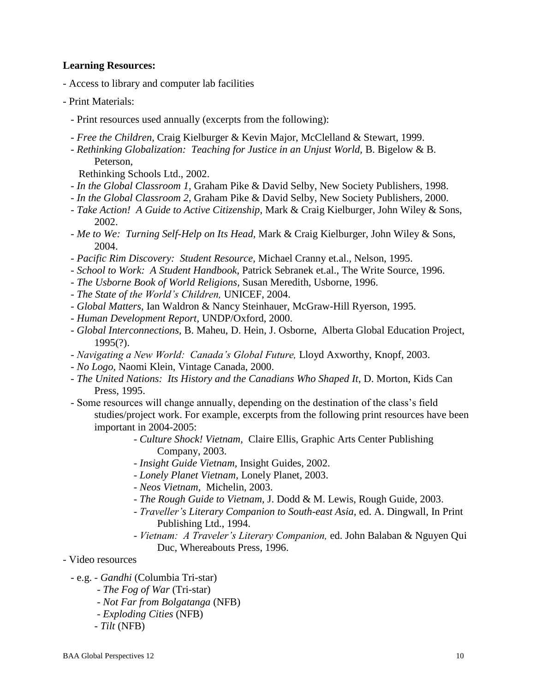#### **Learning Resources:**

- Access to library and computer lab facilities
- Print Materials:
	- Print resources used annually (excerpts from the following):
	- *Free the Children,* Craig Kielburger & Kevin Major, McClelland & Stewart, 1999.
	- *Rethinking Globalization: Teaching for Justice in an Unjust World,* B. Bigelow & B. Peterson,
		- Rethinking Schools Ltd., 2002.
	- *In the Global Classroom 1,* Graham Pike & David Selby, New Society Publishers, 1998.
	- *In the Global Classroom 2,* Graham Pike & David Selby, New Society Publishers, 2000.
	- *Take Action! A Guide to Active Citizenship,* Mark & Craig Kielburger, John Wiley & Sons, 2002.
	- *Me to We: Turning Self-Help on Its Head,* Mark & Craig Kielburger, John Wiley & Sons, 2004.
	- *Pacific Rim Discovery: Student Resource,* Michael Cranny et.al., Nelson, 1995.
	- *School to Work: A Student Handbook,* Patrick Sebranek et.al., The Write Source, 1996.
	- *The Usborne Book of World Religions,* Susan Meredith, Usborne, 1996.
	- *The State of the World's Children,* UNICEF, 2004.
	- *Global Matters,* Ian Waldron & Nancy Steinhauer, McGraw-Hill Ryerson, 1995.
	- *Human Development Report,* UNDP/Oxford, 2000.
	- *Global Interconnections,* B. Maheu, D. Hein, J. Osborne, Alberta Global Education Project, 1995(?).
	- *Navigating a New World: Canada's Global Future,* Lloyd Axworthy, Knopf, 2003.
	- *No Logo,* Naomi Klein, Vintage Canada, 2000.
	- *The United Nations: Its History and the Canadians Who Shaped It*, D. Morton, Kids Can Press, 1995.
	- Some resources will change annually, depending on the destination of the class's field studies/project work. For example, excerpts from the following print resources have been important in 2004-2005:
		- *Culture Shock! Vietnam,* Claire Ellis, Graphic Arts Center Publishing Company, 2003.
		- *Insight Guide Vietnam,* Insight Guides, 2002.
		- *Lonely Planet Vietnam,* Lonely Planet, 2003.
		- *Neos Vietnam,* Michelin, 2003.
		- *The Rough Guide to Vietnam,* J. Dodd & M. Lewis, Rough Guide, 2003.
		- *Traveller's Literary Companion to South-east Asia,* ed. A. Dingwall, In Print Publishing Ltd., 1994.
		- *Vietnam: A Traveler's Literary Companion,* ed. John Balaban & Nguyen Qui Duc, Whereabouts Press, 1996.
- Video resources
	- e.g. *Gandhi* (Columbia Tri-star)
		- *The Fog of War* (Tri-star)
		- *Not Far from Bolgatanga* (NFB)
		- *Exploding Cities* (NFB)
		- *Tilt* (NFB)